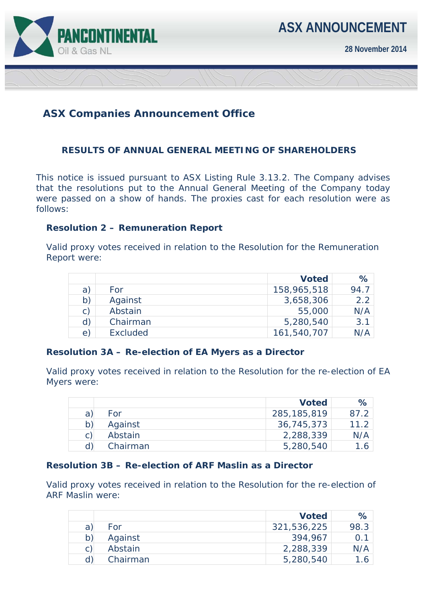

**28 November 2014** 

# **ASX Companies Announcement Office**

## **RESULTS OF ANNUAL GENERAL MEETING OF SHAREHOLDERS**

This notice is issued pursuant to ASX Listing Rule 3.13.2. The Company advises that the resolutions put to the Annual General Meeting of the Company today were passed on a show of hands. The proxies cast for each resolution were as follows:

#### **Resolution 2 – Remuneration Report**

Valid proxy votes received in relation to the Resolution for the Remuneration Report were:

|                |          | <b>Voted</b> | $\%$ |
|----------------|----------|--------------|------|
| a)             | For      | 158,965,518  | 94.7 |
| b)             | Against  | 3,658,306    | 2.2  |
| $\mathsf{C}$ ) | Abstain  | 55,000       | N/A  |
| d)             | Chairman | 5,280,540    | 3.1  |
| $\Theta$       | Excluded | 161,540,707  | N/A  |

#### **Resolution 3A – Re-election of EA Myers as a Director**

Valid proxy votes received in relation to the Resolution for the re-election of EA Myers were:

|    |          | <b>Voted</b>  | $\%$                     |
|----|----------|---------------|--------------------------|
| a  | For      | 285, 185, 819 | 87.2                     |
| b) | Against  | 36,745,373    | 11.2                     |
| C) | Abstain  | 2,288,339     | N/A                      |
|    | Chairman | 5,280,540     | $^{\circ}$ .6 $^{\circ}$ |

#### **Resolution 3B – Re-election of ARF Maslin as a Director**

Valid proxy votes received in relation to the Resolution for the re-election of ARF Maslin were:

|   |          | <b>Voted</b> | $\%$ |
|---|----------|--------------|------|
| a | For      | 321,536,225  | 98.3 |
|   | Against  | 394,967      | 0.1  |
|   | Abstain  | 2,288,339    | N/A  |
|   | Chairman | 5,280,540    | 1.6  |